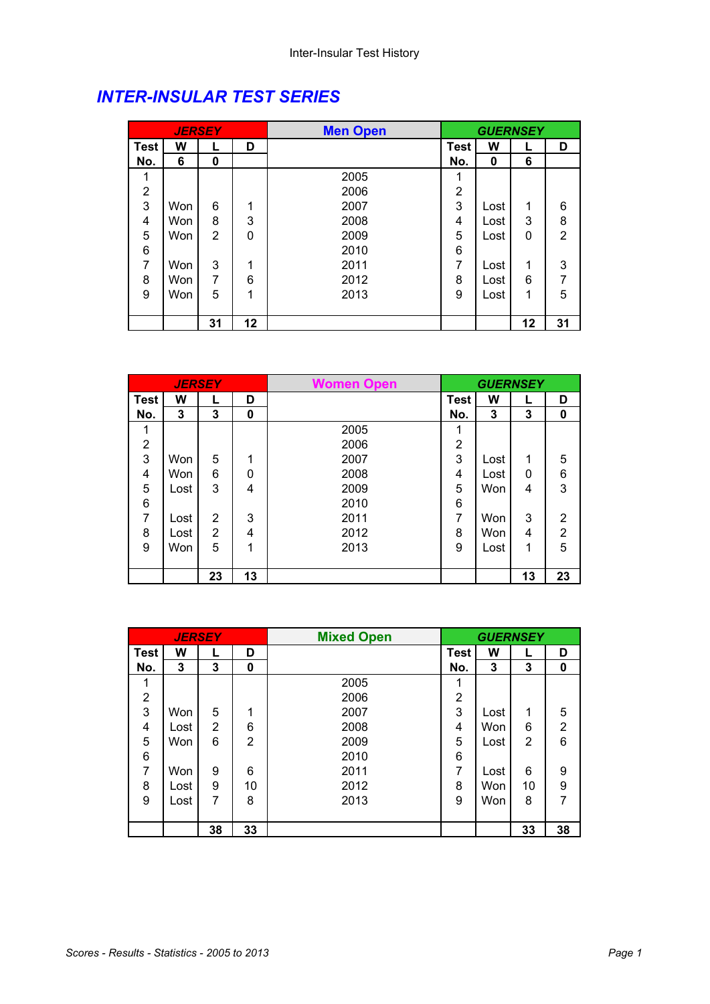## *INTER-INSULAR TEST SERIES*

|                |     | <b>JERSEY</b>  |    | <b>Men Open</b> |                | <b>GUERNSEY</b> |    |                |
|----------------|-----|----------------|----|-----------------|----------------|-----------------|----|----------------|
| <b>Test</b>    | W   | L              | D  |                 | <b>Test</b>    | W               |    | D              |
| No.            | 6   | 0              |    |                 | No.            | 0               | 6  |                |
| 1              |     |                |    | 2005            | 1              |                 |    |                |
| $\overline{2}$ |     |                |    | 2006            | $\overline{2}$ |                 |    |                |
| 3              | Won | 6              | 1  | 2007            | 3              | Lost            | 1  | 6              |
| 4              | Won | 8              | 3  | 2008            | 4              | Lost            | 3  | 8              |
| 5              | Won | $\overline{2}$ | 0  | 2009            | 5              | Lost            | 0  | $\overline{2}$ |
| 6              |     |                |    | 2010            | 6              |                 |    |                |
| 7              | Won | 3              | 1  | 2011            | 7              | Lost            | 1  | 3              |
| 8              | Won | 7              | 6  | 2012            | 8              | Lost            | 6  | 7              |
| 9              | Won | 5              | 1  | 2013            | 9              | Lost            | 1  | 5              |
|                |     |                |    |                 |                |                 |    |                |
|                |     | 31             | 12 |                 |                |                 | 12 | 31             |

|             | <b>JERSEY</b> |    |    | <b>Women Open</b> |                | <b>GUERNSEY</b> |    |                |
|-------------|---------------|----|----|-------------------|----------------|-----------------|----|----------------|
| <b>Test</b> | W             |    | D  |                   | <b>Test</b>    | W               |    | D              |
| No.         | 3             | 3  | 0  |                   | No.            | 3               | 3  | 0              |
|             |               |    |    | 2005              | 1              |                 |    |                |
| 2           |               |    |    | 2006              | $\overline{2}$ |                 |    |                |
| 3           | Won           | 5  | 1  | 2007              | 3              | Lost            | 1  | 5              |
| 4           | <b>Won</b>    | 6  | 0  | 2008              | 4              | Lost            | 0  | 6              |
| 5           | Lost          | 3  | 4  | 2009              | 5              | Won             | 4  | 3              |
| 6           |               |    |    | 2010              | 6              |                 |    |                |
| 7           | Lost          | 2  | 3  | 2011              | 7              | Won             | 3  | 2              |
| 8           | Lost          | 2  | 4  | 2012              | 8              | Won             | 4  | $\overline{2}$ |
| 9           | Won           | 5  | 1  | 2013              | 9              | Lost            | 1  | 5              |
|             |               |    |    |                   |                |                 |    |                |
|             |               | 23 | 13 |                   |                |                 | 13 | 23             |

|      |      | <b>JERSEY</b> |                | <b>Mixed Open</b> |                |      | <b>GUERNSEY</b> |                |
|------|------|---------------|----------------|-------------------|----------------|------|-----------------|----------------|
| Test | W    |               | D              |                   | <b>Test</b>    | W    |                 | D              |
| No.  | 3    | 3             | 0              |                   | No.            | 3    | 3               | 0              |
| 1    |      |               |                | 2005              | 1              |      |                 |                |
| 2    |      |               |                | 2006              | 2              |      |                 |                |
| 3    | Won  | 5             | 1              | 2007              | 3              | Lost | 1               | 5              |
| 4    | Lost | 2             | 6              | 2008              | 4              | Won  | 6               | $\overline{2}$ |
| 5    | Won  | 6             | $\overline{2}$ | 2009              | 5              | Lost | 2               | $6\phantom{1}$ |
| 6    |      |               |                | 2010              | 6              |      |                 |                |
| 7    | Won  | 9             | 6              | 2011              | $\overline{7}$ | Lost | 6               | 9              |
| 8    | Lost | 9             | 10             | 2012              | 8              | Won  | 10              | 9              |
| 9    | Lost | 7             | 8              | 2013              | 9              | Won  | 8               | 7              |
|      |      |               |                |                   |                |      |                 |                |
|      |      | 38            | 33             |                   |                |      | 33              | 38             |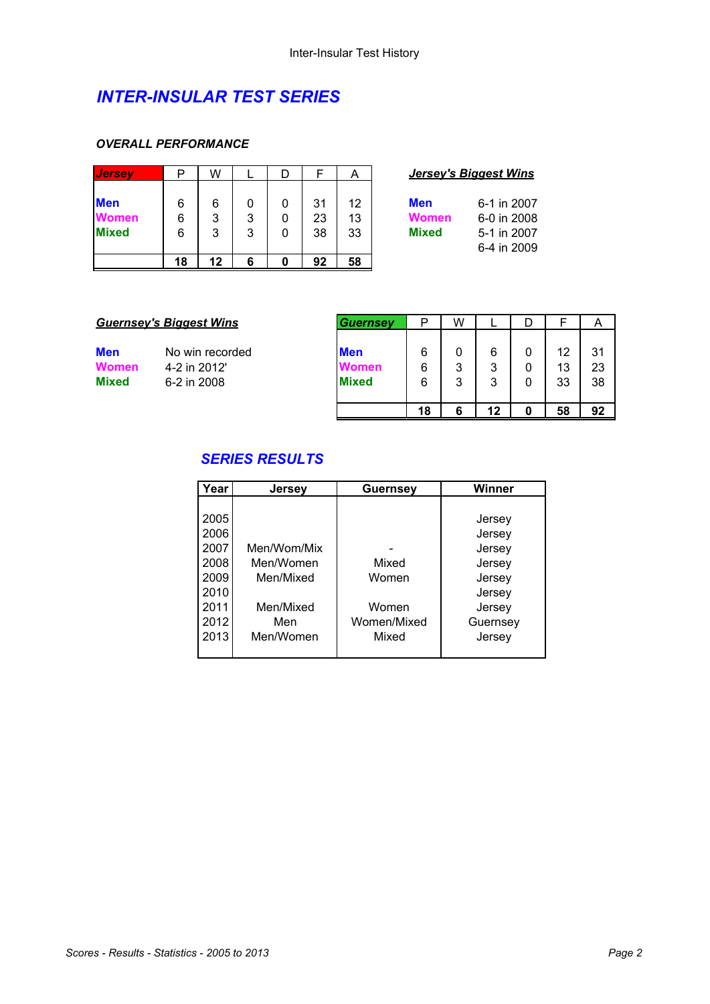### *INTER-INSULAR TEST SERIES*

#### *OVERALL PERFORMANCE*

| <b>Jersev</b>                              | D           | W           |        |             |                | Α              | <u>Jersey's Biagest Wins</u>                                                                           |
|--------------------------------------------|-------------|-------------|--------|-------------|----------------|----------------|--------------------------------------------------------------------------------------------------------|
| <b>Men</b><br><b>Women</b><br><b>Mixed</b> | 6<br>6<br>6 | 6<br>3<br>3 | 3<br>3 | 0<br>0<br>0 | 31<br>23<br>38 | 12<br>13<br>33 | <b>Men</b><br>6-1 in 2007<br>6-0 in 2008<br><b>Women</b><br><b>Mixed</b><br>5-1 in 2007<br>6-4 in 2009 |
|                                            | 18          | 12          | 6      | 0           | 92             | 58             |                                                                                                        |

| <b>Jersey's Biggest Wins</b> |  |
|------------------------------|--|
|------------------------------|--|

| en    | 6-1 in 2007 |
|-------|-------------|
| lomen | 6-0 in 2008 |
| ixed  | 5-1 in 2007 |
|       | 6-4 in 2009 |

#### **Guernsey's Biggest Wins**

**Men** No win recorded<br>**Women** 4-2 in 2012 **4-2 in 2012' Mixed** 6-2 in 2008

| <b>Guernsey</b> | P  | W |    |   |    | A  |
|-----------------|----|---|----|---|----|----|
|                 |    |   |    |   |    |    |
| <b>Men</b>      | 6  | 0 | 6  | 0 | 12 | 31 |
| <b>Women</b>    | 6  | 3 | 3  | 0 | 13 | 23 |
| <b>Mixed</b>    | 6  | 3 | 3  | 0 | 33 | 38 |
|                 |    |   |    |   |    |    |
|                 | 18 | 6 | 12 |   | 58 | 92 |

### *SERIES RESULTS*

| Year | <b>Jersey</b> | <b>Guernsey</b> | <b>Winner</b> |
|------|---------------|-----------------|---------------|
|      |               |                 |               |
| 2005 |               |                 | Jersey        |
| 2006 |               |                 | Jersey        |
| 2007 | Men/Wom/Mix   |                 | Jersey        |
| 2008 | Men/Women     | Mixed           | Jersey        |
| 2009 | Men/Mixed     | Women           | Jersey        |
| 2010 |               |                 | Jersey        |
| 2011 | Men/Mixed     | Women           | Jersey        |
| 2012 | Men           | Women/Mixed     | Guernsey      |
| 2013 | Men/Women     | Mixed           | Jersey        |
|      |               |                 |               |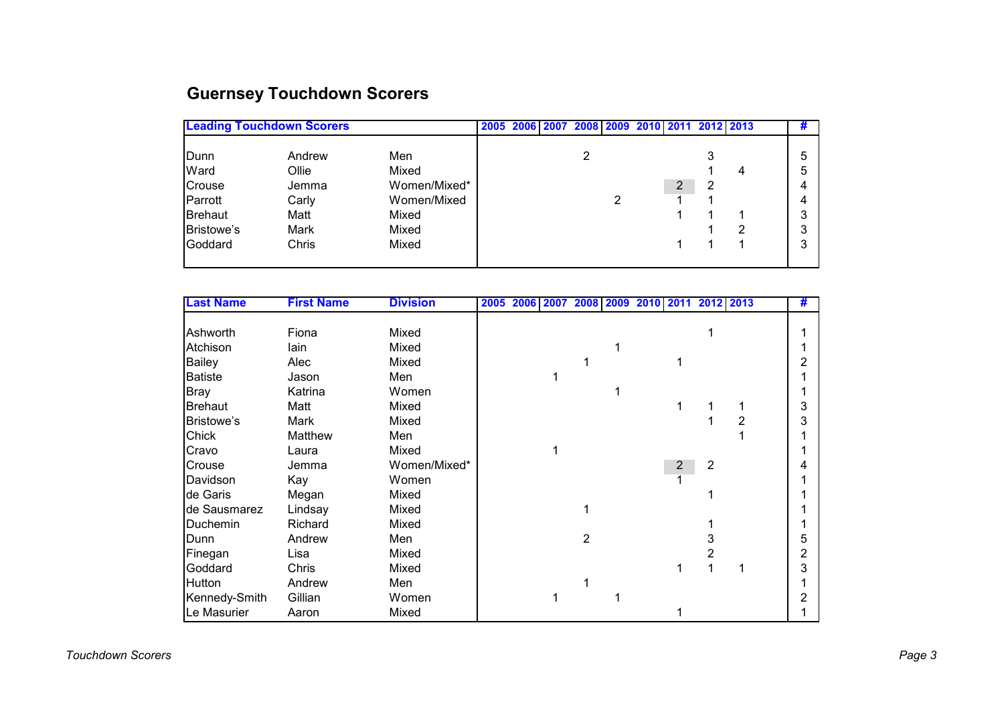# **Guernsey Touchdown Scorers**

|                   | <b>Leading Touchdown Scorers</b> |              |  |  |  |   |   |   | 2005 2006 2007 2008 2009 2010 2011 2012 2013 |   | #      |  |
|-------------------|----------------------------------|--------------|--|--|--|---|---|---|----------------------------------------------|---|--------|--|
| Dunn<br>Ward      | Andrew<br>Ollie                  | Men<br>Mixed |  |  |  | 2 |   |   |                                              | 4 | 5<br>5 |  |
| Crouse            | Jemma                            | Women/Mixed* |  |  |  |   |   | 2 | 2                                            |   | 4      |  |
| Parrott           | Carly                            | Women/Mixed  |  |  |  |   | ົ |   |                                              |   | 4      |  |
| <b>Brehaut</b>    | Matt                             | Mixed        |  |  |  |   |   |   |                                              |   | 3      |  |
| <b>Bristowe's</b> | Mark                             | Mixed        |  |  |  |   |   |   |                                              | 2 | 3      |  |
| Goddard           | Chris                            | Mixed        |  |  |  |   |   |   |                                              |   | 3      |  |
|                   |                                  |              |  |  |  |   |   |   |                                              |   |        |  |

| <b>Last Name</b> | <b>First Name</b> | <b>Division</b> |  | 2005 2006 2007 2008 2009 2010 2011 2012 2013 |                |  |                         |   |                | # |
|------------------|-------------------|-----------------|--|----------------------------------------------|----------------|--|-------------------------|---|----------------|---|
|                  |                   |                 |  |                                              |                |  |                         |   |                |   |
| Ashworth         | Fiona             | Mixed           |  |                                              |                |  |                         |   |                |   |
| Atchison         | lain              | Mixed           |  |                                              |                |  |                         |   |                |   |
| <b>Bailey</b>    | Alec              | Mixed           |  |                                              |                |  |                         |   |                | 2 |
| <b>Batiste</b>   | Jason             | Men             |  |                                              |                |  |                         |   |                |   |
| <b>Bray</b>      | Katrina           | Women           |  |                                              |                |  |                         |   |                |   |
| <b>Brehaut</b>   | Matt              | Mixed           |  |                                              |                |  | 1                       |   |                | 3 |
| Bristowe's       | Mark              | Mixed           |  |                                              |                |  |                         |   | $\overline{2}$ | 3 |
| Chick            | Matthew           | Men             |  |                                              |                |  |                         |   |                |   |
| Cravo            | Laura             | Mixed           |  | 1                                            |                |  |                         |   |                |   |
| Crouse           | Jemma             | Women/Mixed*    |  |                                              |                |  | $\overline{\mathbf{c}}$ | 2 |                | 4 |
| Davidson         | Kay               | Women           |  |                                              |                |  | 1                       |   |                |   |
| de Garis         | Megan             | Mixed           |  |                                              |                |  |                         |   |                |   |
| de Sausmarez     | Lindsay           | Mixed           |  |                                              |                |  |                         |   |                |   |
| Duchemin         | Richard           | Mixed           |  |                                              |                |  |                         |   |                |   |
| Dunn             | Andrew            | Men             |  |                                              | $\overline{2}$ |  |                         | 3 |                | 5 |
| Finegan          | Lisa              | Mixed           |  |                                              |                |  |                         | 2 |                | 2 |
| Goddard          | Chris             | Mixed           |  |                                              |                |  |                         |   | 1              | 3 |
| Hutton           | Andrew            | Men             |  |                                              |                |  |                         |   |                |   |
| Kennedy-Smith    | Gillian           | Women           |  | 1                                            |                |  |                         |   |                | 2 |
| Le Masurier      | Aaron             | Mixed           |  |                                              |                |  |                         |   |                |   |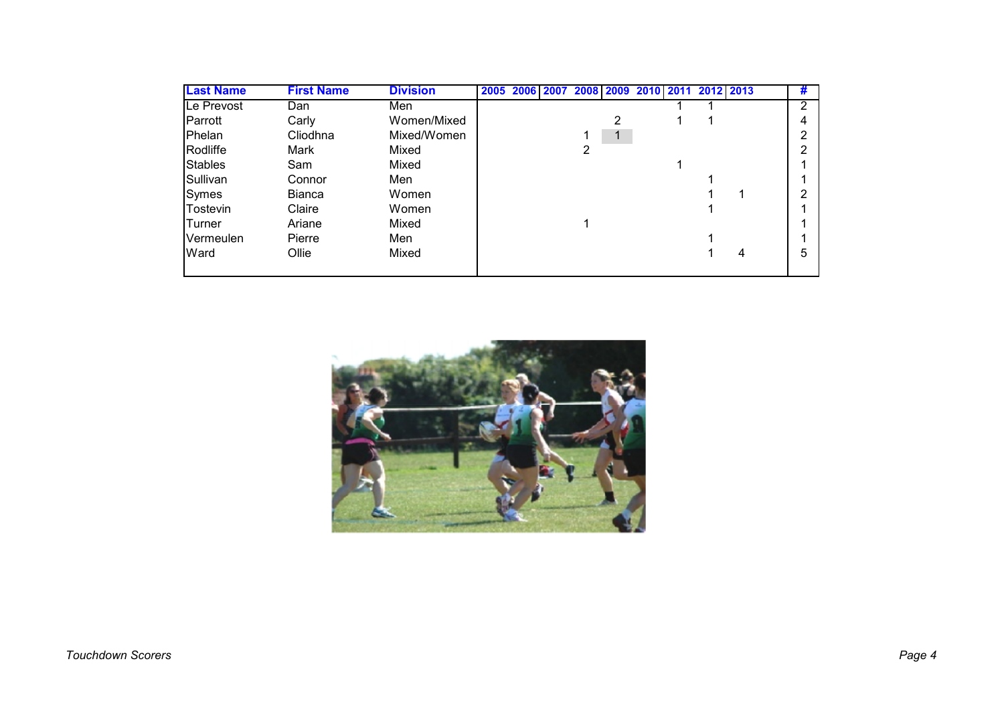| <b>Last Name</b> | <b>First Name</b> | <b>Division</b> | 2005 |  |   |   | 2006 2007 2008 2009 2010 2011 | 2012 2013 |   | # |
|------------------|-------------------|-----------------|------|--|---|---|-------------------------------|-----------|---|---|
| Le Prevost       | Dan               | Men             |      |  |   |   |                               |           |   | ົ |
| <b>Parrott</b>   | Carly             | Women/Mixed     |      |  |   | 2 |                               |           |   |   |
| lPhelan          | Cliodhna          | Mixed/Women     |      |  |   |   |                               |           |   |   |
| Rodliffe         | Mark              | Mixed           |      |  | 2 |   |                               |           |   |   |
| <b>Stables</b>   | Sam               | Mixed           |      |  |   |   |                               |           |   |   |
| Sullivan         | Connor            | Men             |      |  |   |   |                               |           |   |   |
| <b>Symes</b>     | <b>Bianca</b>     | Women           |      |  |   |   |                               |           |   |   |
| Tostevin         | Claire            | Women           |      |  |   |   |                               |           |   |   |
| <b>Turner</b>    | Ariane            | Mixed           |      |  |   |   |                               |           |   |   |
| Vermeulen        | Pierre            | Men             |      |  |   |   |                               |           |   |   |
| Ward             | Ollie             | Mixed           |      |  |   |   |                               |           | 4 | 5 |
|                  |                   |                 |      |  |   |   |                               |           |   |   |

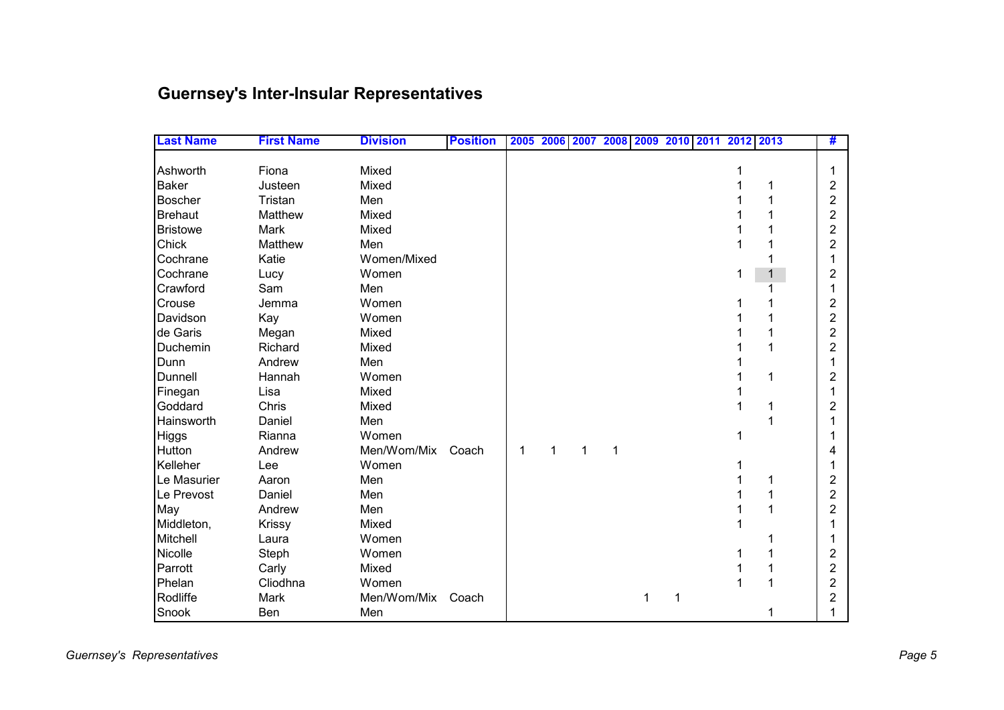# **Guernsey's Inter-Insular Representatives**

| <b>Last Name</b> | <b>First Name</b> | <b>Division</b> | <b>Position</b> |   | 2005 2006 2007 2008 2009 2010 |   |   |   |  | 2011 2012 2013 |   | #              |
|------------------|-------------------|-----------------|-----------------|---|-------------------------------|---|---|---|--|----------------|---|----------------|
|                  |                   |                 |                 |   |                               |   |   |   |  |                |   |                |
| Ashworth         | Fiona             | Mixed           |                 |   |                               |   |   |   |  |                |   | 1              |
| <b>Baker</b>     | Justeen           | Mixed           |                 |   |                               |   |   |   |  |                |   | 2              |
| <b>Boscher</b>   | Tristan           | Men             |                 |   |                               |   |   |   |  |                |   | 2              |
| <b>Brehaut</b>   | Matthew           | Mixed           |                 |   |                               |   |   |   |  |                |   | 2              |
| <b>Bristowe</b>  | Mark              | Mixed           |                 |   |                               |   |   |   |  |                |   | $\overline{2}$ |
| Chick            | Matthew           | Men             |                 |   |                               |   |   |   |  |                |   | 2              |
| Cochrane         | Katie             | Women/Mixed     |                 |   |                               |   |   |   |  |                |   |                |
| Cochrane         | Lucy              | Women           |                 |   |                               |   |   |   |  | 1              | 1 | 2              |
| Crawford         | Sam               | Men             |                 |   |                               |   |   |   |  |                |   |                |
| Crouse           | Jemma             | Women           |                 |   |                               |   |   |   |  |                |   | 2              |
| Davidson         | Kay               | Women           |                 |   |                               |   |   |   |  |                |   | $\overline{2}$ |
| de Garis         | Megan             | Mixed           |                 |   |                               |   |   |   |  |                |   | $\overline{2}$ |
| Duchemin         | Richard           | Mixed           |                 |   |                               |   |   |   |  |                |   | 2              |
| Dunn             | Andrew            | Men             |                 |   |                               |   |   |   |  |                |   |                |
| Dunnell          | Hannah            | Women           |                 |   |                               |   |   |   |  |                | 1 | 2              |
| Finegan          | Lisa              | Mixed           |                 |   |                               |   |   |   |  |                |   |                |
| Goddard          | Chris             | Mixed           |                 |   |                               |   |   |   |  |                | 1 | 2              |
| Hainsworth       | Daniel            | Men             |                 |   |                               |   |   |   |  |                |   |                |
| Higgs            | Rianna            | Women           |                 |   |                               |   |   |   |  | 1              |   |                |
| Hutton           | Andrew            | Men/Wom/Mix     | Coach           | 1 | 1                             | 1 | 1 |   |  |                |   |                |
| Kelleher         | Lee               | Women           |                 |   |                               |   |   |   |  |                |   |                |
| Le Masurier      | Aaron             | Men             |                 |   |                               |   |   |   |  |                |   | 2              |
| Le Prevost       | Daniel            | Men             |                 |   |                               |   |   |   |  |                | 1 | $\overline{2}$ |
| May              | Andrew            | Men             |                 |   |                               |   |   |   |  |                |   | $\overline{2}$ |
| Middleton,       | Krissy            | Mixed           |                 |   |                               |   |   |   |  |                |   |                |
| Mitchell         | Laura             | Women           |                 |   |                               |   |   |   |  |                |   |                |
| Nicolle          | Steph             | Women           |                 |   |                               |   |   |   |  |                |   | 2              |
| Parrott          | Carly             | Mixed           |                 |   |                               |   |   |   |  |                |   | 2              |
| Phelan           | Cliodhna          | Women           |                 |   |                               |   |   |   |  |                |   | 2              |
| Rodliffe         | Mark              | Men/Wom/Mix     | Coach           |   |                               |   |   | 1 |  |                |   | 2              |
| Snook            | Ben               | Men             |                 |   |                               |   |   |   |  |                |   |                |